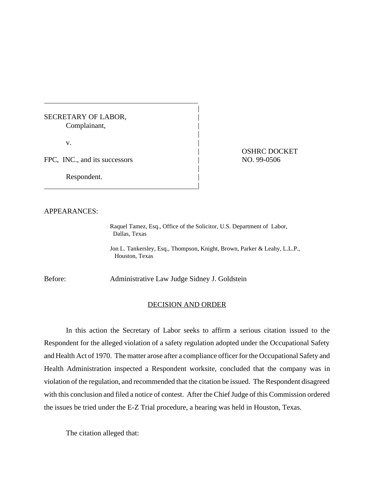## SECRETARY OF LABOR, Complainant, |

 $\mathbf v$ .

FPC, INC., and its successors | NO. 99-0506

|

Respondent.

| OSHRC DOCKET

## APPEARANCES:

Raquel Tamez, Esq., Office of the Solicitor, U.S. Department of Labor, Dallas, Texas

|

|

|

Jon L. Tankersley, Esq., Thompson, Knight, Brown, Parker & Leahy, L.L.P., Houston, Texas

Before: Administrative Law Judge Sidney J. Goldstein

## DECISION AND ORDER

In this action the Secretary of Labor seeks to affirm a serious citation issued to the Respondent for the alleged violation of a safety regulation adopted under the Occupational Safety and Health Act of 1970. The matter arose after a compliance officer for the Occupational Safety and Health Administration inspected a Respondent worksite, concluded that the company was in violation of the regulation, and recommended that the citation be issued. The Respondent disagreed with this conclusion and filed a notice of contest. After the Chief Judge of this Commission ordered the issues be tried under the E-Z Trial procedure, a hearing was held in Houston, Texas.

The citation alleged that: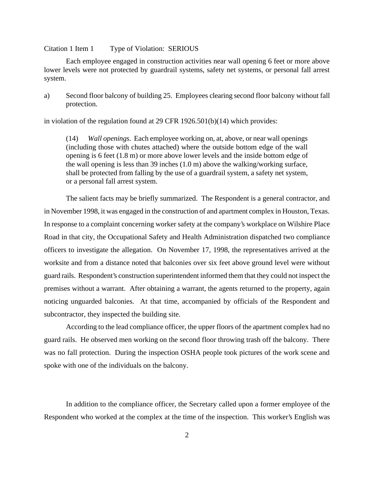## Citation 1 Item 1 Type of Violation: SERIOUS

Each employee engaged in construction activities near wall opening 6 feet or more above lower levels were not protected by guardrail systems, safety net systems, or personal fall arrest system.

a) Second floor balcony of building 25. Employees clearing second floor balcony without fall protection.

in violation of the regulation found at 29 CFR 1926.501(b)(14) which provides:

(14) *Wall openings*. Each employee working on, at, above, or near wall openings (including those with chutes attached) where the outside bottom edge of the wall opening is 6 feet (1.8 m) or more above lower levels and the inside bottom edge of the wall opening is less than 39 inches (1.0 m) above the walking/working surface, shall be protected from falling by the use of a guardrail system, a safety net system, or a personal fall arrest system.

The salient facts may be briefly summarized. The Respondent is a general contractor, and in November 1998, it was engaged in the construction of and apartment complex in Houston, Texas. In response to a complaint concerning worker safety at the company's workplace on Wilshire Place Road in that city, the Occupational Safety and Health Administration dispatched two compliance officers to investigate the allegation. On November 17, 1998, the representatives arrived at the worksite and from a distance noted that balconies over six feet above ground level were without guard rails. Respondent's construction superintendent informed them that they could not inspect the premises without a warrant. After obtaining a warrant, the agents returned to the property, again noticing unguarded balconies. At that time, accompanied by officials of the Respondent and subcontractor, they inspected the building site.

According to the lead compliance officer, the upper floors of the apartment complex had no guard rails. He observed men working on the second floor throwing trash off the balcony. There was no fall protection. During the inspection OSHA people took pictures of the work scene and spoke with one of the individuals on the balcony.

In addition to the compliance officer, the Secretary called upon a former employee of the Respondent who worked at the complex at the time of the inspection. This worker's English was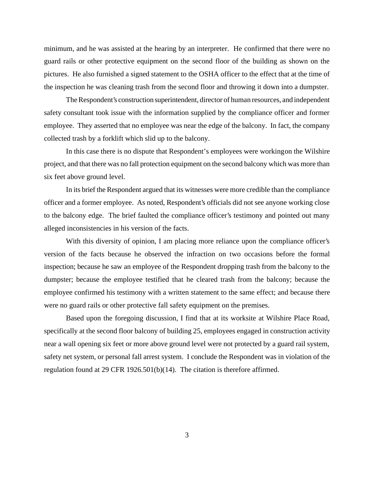minimum, and he was assisted at the hearing by an interpreter. He confirmed that there were no guard rails or other protective equipment on the second floor of the building as shown on the pictures. He also furnished a signed statement to the OSHA officer to the effect that at the time of the inspection he was cleaning trash from the second floor and throwing it down into a dumpster.

The Respondent's construction superintendent, director of human resources, and independent safety consultant took issue with the information supplied by the compliance officer and former employee. They asserted that no employee was near the edge of the balcony. In fact, the company collected trash by a forklift which slid up to the balcony.

In this case there is no dispute that Respondent's employees were working on the Wilshire project, and that there was no fall protection equipment on the second balcony which was more than six feet above ground level.

In its brief the Respondent argued that its witnesses were more credible than the compliance officer and a former employee. As noted, Respondent's officials did not see anyone working close to the balcony edge. The brief faulted the compliance officer's testimony and pointed out many alleged inconsistencies in his version of the facts.

With this diversity of opinion, I am placing more reliance upon the compliance officer's version of the facts because he observed the infraction on two occasions before the formal inspection; because he saw an employee of the Respondent dropping trash from the balcony to the dumpster; because the employee testified that he cleared trash from the balcony; because the employee confirmed his testimony with a written statement to the same effect; and because there were no guard rails or other protective fall safety equipment on the premises.

Based upon the foregoing discussion, I find that at its worksite at Wilshire Place Road, specifically at the second floor balcony of building 25, employees engaged in construction activity near a wall opening six feet or more above ground level were not protected by a guard rail system, safety net system, or personal fall arrest system. I conclude the Respondent was in violation of the regulation found at 29 CFR 1926.501(b)(14). The citation is therefore affirmed.